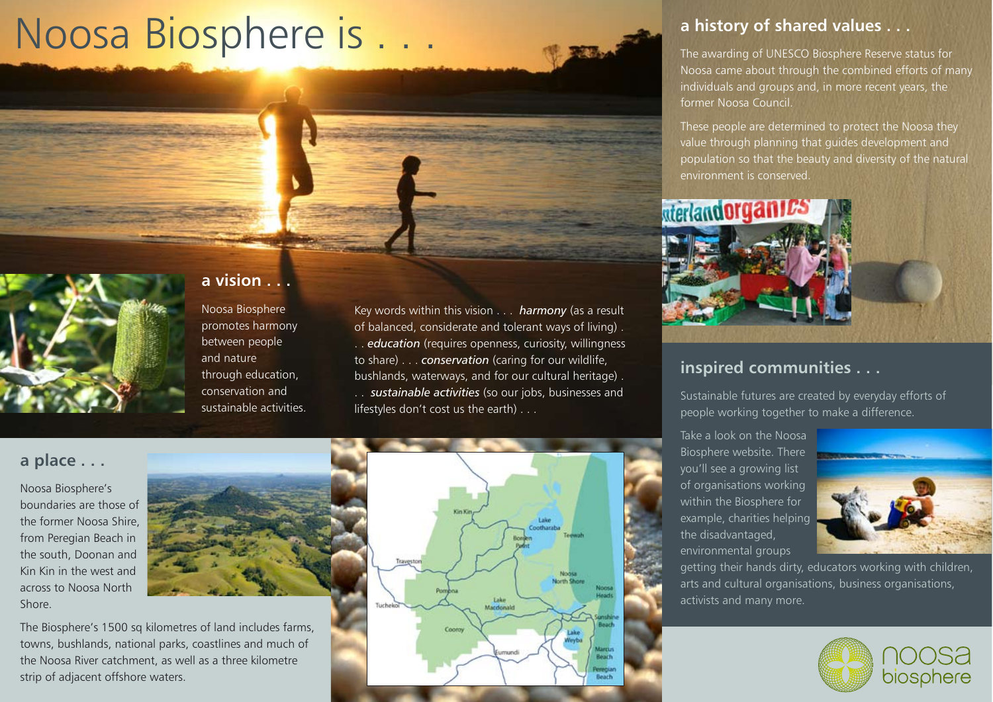# Noosa Biosphere is.



### **a vision . . .**

Noosa Biosphere promotes harmony between people and nature through education, conservation and sustainable activities. Key words within this vision . . . *harmony* (as a result of balanced, considerate and tolerant ways of living) . . . *education* (requires openness, curiosity, willingness to share) . . . *conservation* (caring for our wildlife, bushlands, waterways, and for our cultural heritage) . . . *sustainable activities* (so our jobs, businesses and lifestyles don't cost us the earth) . . .

#### **a place . . .**

Noosa Biosphere's boundaries are those of the former Noosa Shire, from Peregian Beach in the south, Doonan and Kin Kin in the west and across to Noosa North Shore.



The Biosphere's 1500 sq kilometres of land includes farms, towns, bushlands, national parks, coastlines and much of the Noosa River catchment, as well as a three kilometre strip of adjacent offshore waters.



#### **a history of shared values . . .**

The awarding of UNESCO Biosphere Reserve status for Noosa came about through the combined efforts of many individuals and groups and, in more recent years, the former Noosa Council.

These people are determined to protect the Noosa they value through planning that guides development and population so that the beauty and diversity of the natural environment is conserved.



#### **inspired communities . . .**

Sustainable futures are created by everyday efforts of people working together to make a difference.

Take a look on the Noosa Biosphere website. There you'll see a growing list of organisations working within the Biosphere for example, charities helping the disadvantaged, environmental groups



getting their hands dirty, educators working with children, arts and cultural organisations, business organisations, activists and many more.